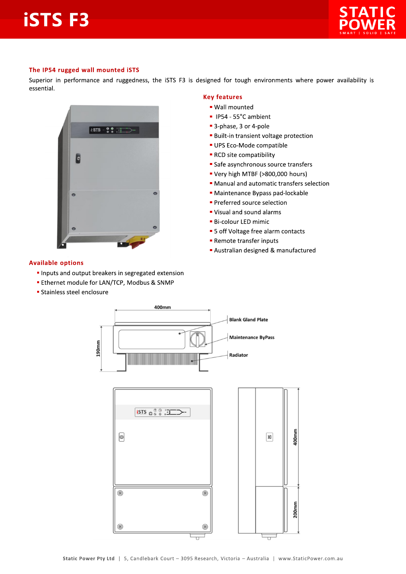# **iSTSF3**



#### The IP54 rugged wall mounted iSTS

Superior in performance and ruggedness, the iSTS F3 is designed for tough environments where power availability is essential.



#### **Available options**

- Inputs and output breakers in segregated extension
- **Ethernet module for LAN/TCP, Modbus & SNMP**
- **Stainless steel enclosure**

#### **Key features**

### · Wall mounted

- IP54 55°C ambient
- 3-phase, 3 or 4-pole
- **Built-in transient voltage protection**
- · UPS Eco-Mode compatible
- RCD site compatibility
- Safe asynchronous source transfers
- " Very high MTBF (>800,000 hours)
- Manual and automatic transfers selection
- · Maintenance Bypass pad-lockable
- · Preferred source selection
- Visual and sound alarms
- **Bi-colour LED mimic**
- 5 off Voltage free alarm contacts
- Remote transfer inputs
- Australian designed & manufactured